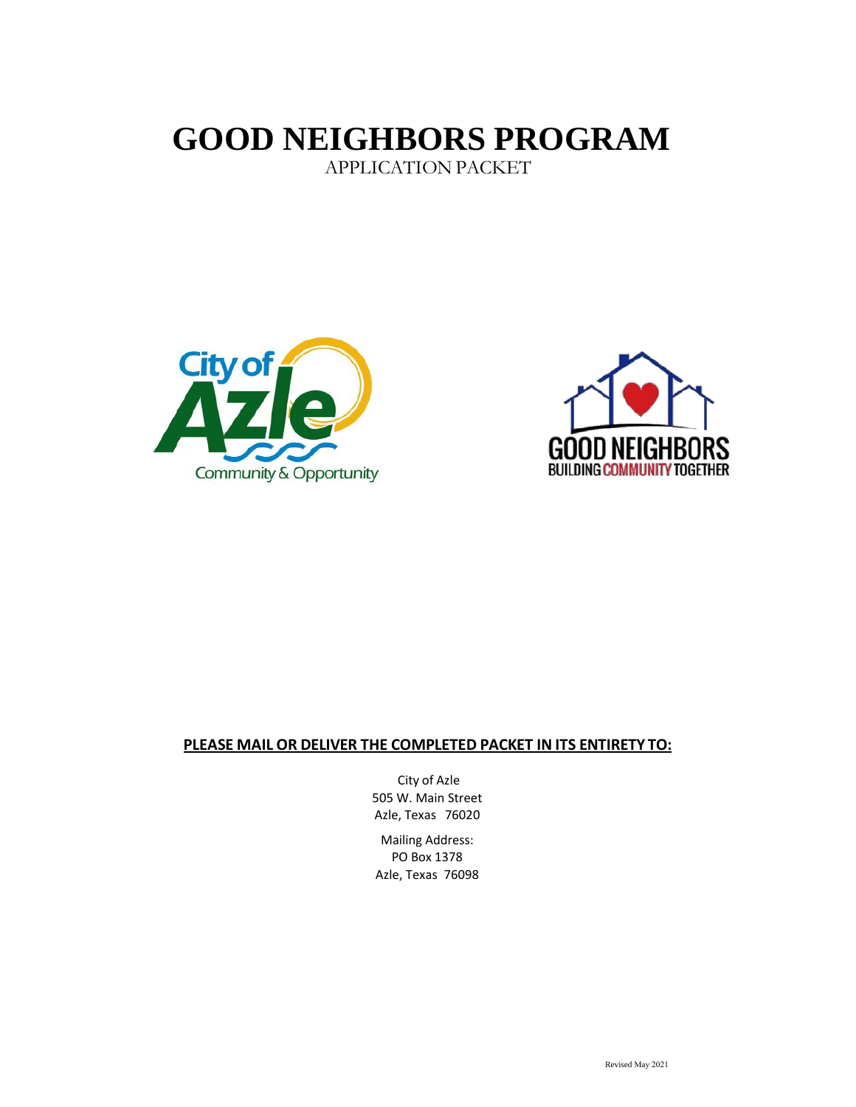# **GOOD NEIGHBORS PROGRAM**

APPLICATION PACKET





### **PLEASE MAIL OR DELIVER THE COMPLETED PACKET IN ITS ENTIRETY TO:**

City of Azle 505 W. Main Street Azle, Texas 76020

Mailing Address: PO Box 1378 Azle, Texas 76098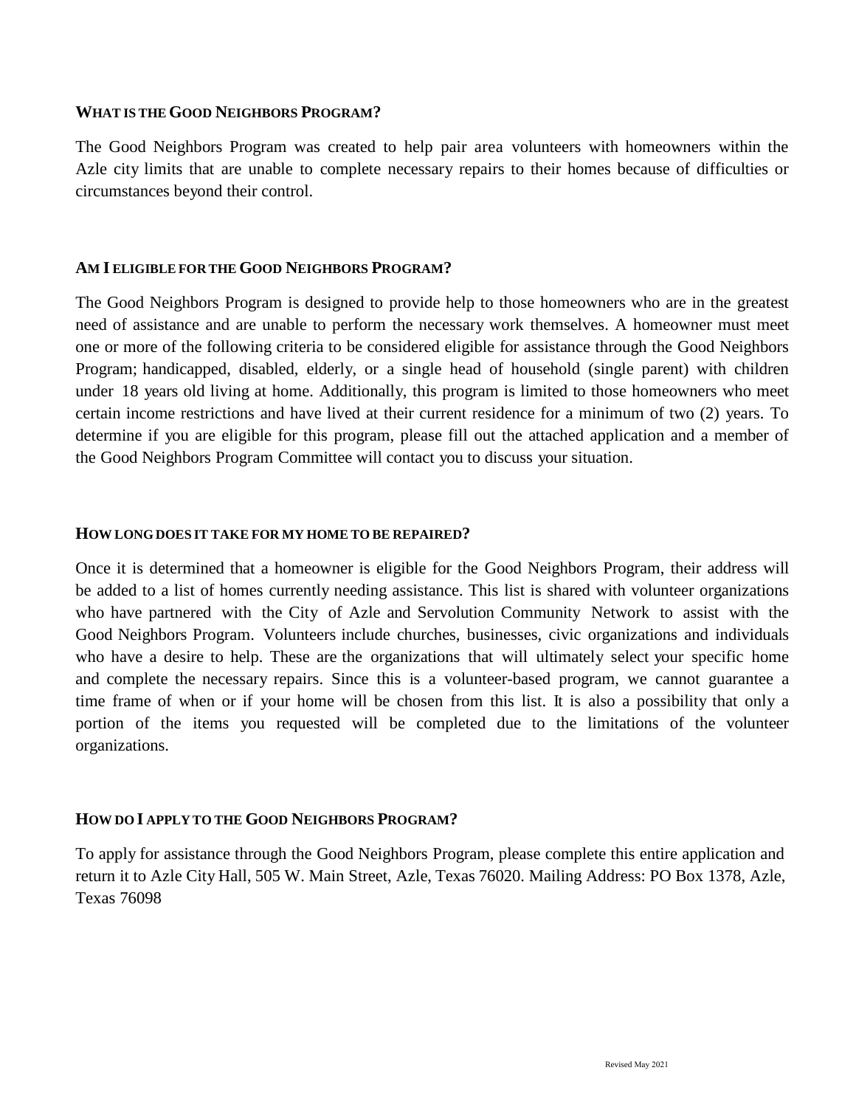### **WHAT IS THE GOOD NEIGHBORS PROGRAM?**

The Good Neighbors Program was created to help pair area volunteers with homeowners within the Azle city limits that are unable to complete necessary repairs to their homes because of difficulties or circumstances beyond their control.

### **AM I ELIGIBLE FOR THE GOOD NEIGHBORS PROGRAM?**

The Good Neighbors Program is designed to provide help to those homeowners who are in the greatest need of assistance and are unable to perform the necessary work themselves. A homeowner must meet one or more of the following criteria to be considered eligible for assistance through the Good Neighbors Program; handicapped, disabled, elderly, or a single head of household (single parent) with children under 18 years old living at home. Additionally, this program is limited to those homeowners who meet certain income restrictions and have lived at their current residence for a minimum of two (2) years. To determine if you are eligible for this program, please fill out the attached application and a member of the Good Neighbors Program Committee will contact you to discuss your situation.

### **HOW LONG DOES IT TAKE FOR MY HOME TO BE REPAIRED?**

Once it is determined that a homeowner is eligible for the Good Neighbors Program, their address will be added to a list of homes currently needing assistance. This list is shared with volunteer organizations who have partnered with the City of Azle and Servolution Community Network to assist with the Good Neighbors Program. Volunteers include churches, businesses, civic organizations and individuals who have a desire to help. These are the organizations that will ultimately select your specific home and complete the necessary repairs. Since this is a volunteer-based program, we cannot guarantee a time frame of when or if your home will be chosen from this list. It is also a possibility that only a portion of the items you requested will be completed due to the limitations of the volunteer organizations.

### **HOW DO I APPLY TO THE GOOD NEIGHBORS PROGRAM?**

To apply for assistance through the Good Neighbors Program, please complete this entire application and return it to Azle City Hall, 505 W. Main Street, Azle, Texas 76020. Mailing Address: PO Box 1378, Azle, Texas 76098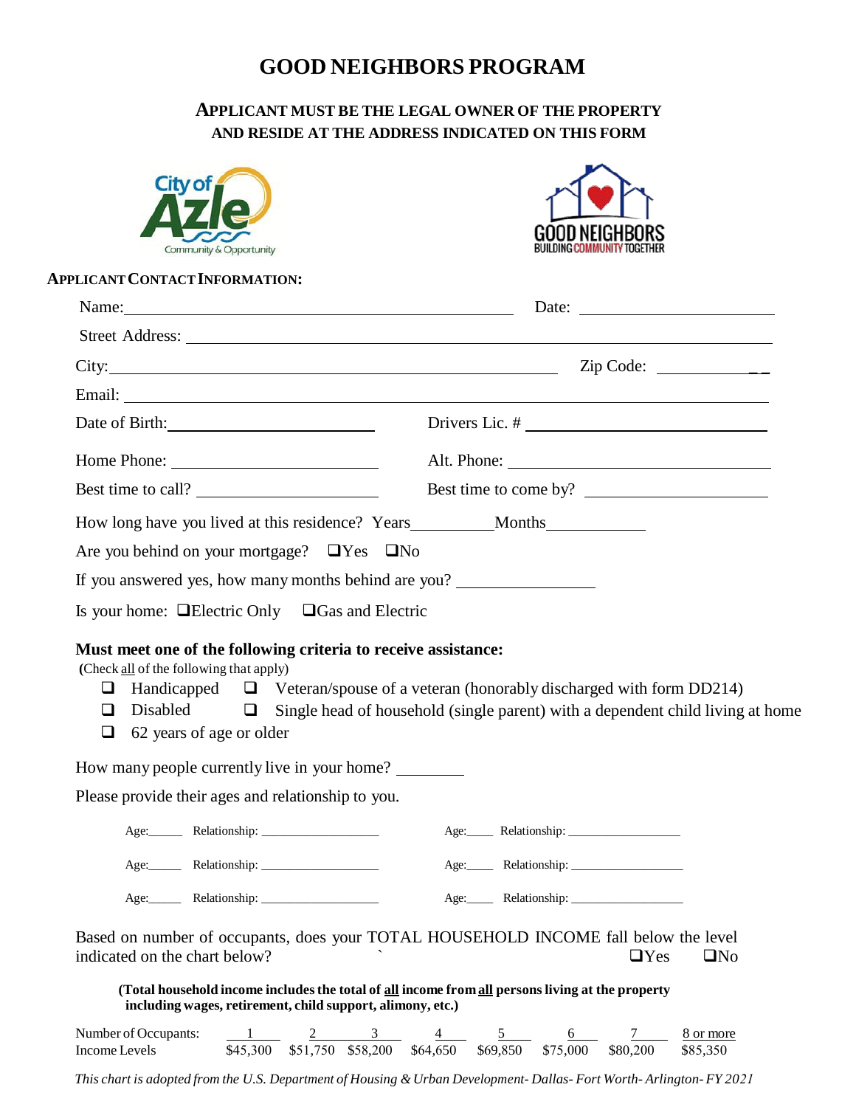# **GOOD NEIGHBORS PROGRAM**

## **APPLICANT MUST BE THE LEGAL OWNER OF THE PROPERTY AND RESIDE AT THE ADDRESS INDICATED ON THIS FORM**

| Community & Opportunity<br><b>APPLICANT CONTACT INFORMATION:</b><br>Name: $\frac{1}{2}$ |                                                                                                                                                                                                                                                                                                                                                                                                                                                                                                                                                                                                                                                                                              |
|-----------------------------------------------------------------------------------------|----------------------------------------------------------------------------------------------------------------------------------------------------------------------------------------------------------------------------------------------------------------------------------------------------------------------------------------------------------------------------------------------------------------------------------------------------------------------------------------------------------------------------------------------------------------------------------------------------------------------------------------------------------------------------------------------|
|                                                                                         |                                                                                                                                                                                                                                                                                                                                                                                                                                                                                                                                                                                                                                                                                              |
|                                                                                         |                                                                                                                                                                                                                                                                                                                                                                                                                                                                                                                                                                                                                                                                                              |
|                                                                                         |                                                                                                                                                                                                                                                                                                                                                                                                                                                                                                                                                                                                                                                                                              |
|                                                                                         |                                                                                                                                                                                                                                                                                                                                                                                                                                                                                                                                                                                                                                                                                              |
|                                                                                         |                                                                                                                                                                                                                                                                                                                                                                                                                                                                                                                                                                                                                                                                                              |
|                                                                                         |                                                                                                                                                                                                                                                                                                                                                                                                                                                                                                                                                                                                                                                                                              |
|                                                                                         |                                                                                                                                                                                                                                                                                                                                                                                                                                                                                                                                                                                                                                                                                              |
| Best time to call?                                                                      | Best time to come by?                                                                                                                                                                                                                                                                                                                                                                                                                                                                                                                                                                                                                                                                        |
|                                                                                         |                                                                                                                                                                                                                                                                                                                                                                                                                                                                                                                                                                                                                                                                                              |
|                                                                                         |                                                                                                                                                                                                                                                                                                                                                                                                                                                                                                                                                                                                                                                                                              |
|                                                                                         |                                                                                                                                                                                                                                                                                                                                                                                                                                                                                                                                                                                                                                                                                              |
|                                                                                         |                                                                                                                                                                                                                                                                                                                                                                                                                                                                                                                                                                                                                                                                                              |
|                                                                                         | Handicapped $\Box$ Veteran/spouse of a veteran (honorably discharged with form DD214)<br>Disabled $\square$ Single head of household (single parent) with a dependent child living at home                                                                                                                                                                                                                                                                                                                                                                                                                                                                                                   |
|                                                                                         |                                                                                                                                                                                                                                                                                                                                                                                                                                                                                                                                                                                                                                                                                              |
|                                                                                         |                                                                                                                                                                                                                                                                                                                                                                                                                                                                                                                                                                                                                                                                                              |
|                                                                                         |                                                                                                                                                                                                                                                                                                                                                                                                                                                                                                                                                                                                                                                                                              |
|                                                                                         |                                                                                                                                                                                                                                                                                                                                                                                                                                                                                                                                                                                                                                                                                              |
|                                                                                         |                                                                                                                                                                                                                                                                                                                                                                                                                                                                                                                                                                                                                                                                                              |
|                                                                                         | Based on number of occupants, does your TOTAL HOUSEHOLD INCOME fall below the level<br>$\Box$ Yes<br>$\square$ No                                                                                                                                                                                                                                                                                                                                                                                                                                                                                                                                                                            |
|                                                                                         | How long have you lived at this residence? Years___________Months_______________<br>Are you behind on your mortgage? $\Box$ Yes $\Box$ No<br>If you answered yes, how many months behind are you?<br>Is your home: $\Box$ Electric Only $\Box$ Gas and Electric<br>Must meet one of the following criteria to receive assistance:<br>(Check all of the following that apply)<br>62 years of age or older<br>How many people currently live in your home?<br>Please provide their ages and relationship to you.<br>Age: Relationship: __________________<br>indicated on the chart below?<br>(Total household income includes the total of all income from all persons living at the property |

Income Levels \$45,300 \$51,750 \$58,200 \$64,650 \$69,850 \$75,000 \$80,200 \$85,350

*This chart is adopted from the U.S. Department of Housing &Urban Development- Dallas- Fort Worth- Arlington- FY 2021*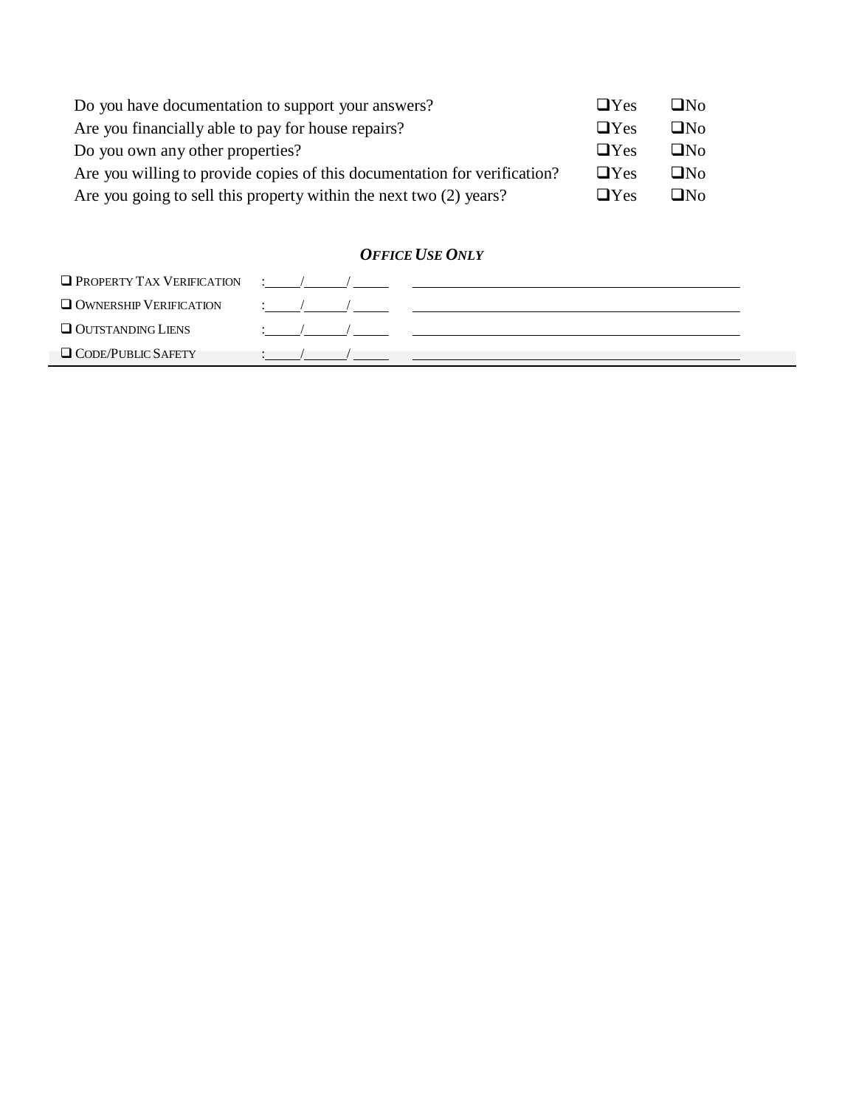| Do you have documentation to support your answers?                        | $\Box$ Yes | $\Box$ No |
|---------------------------------------------------------------------------|------------|-----------|
| Are you financially able to pay for house repairs?                        | $\Box$ Yes | $\Box$ No |
| Do you own any other properties?                                          | $\Box$ Yes | $\Box$ No |
| Are you willing to provide copies of this documentation for verification? | $\Box$ Yes | ⊟No       |
| Are you going to sell this property within the next two (2) years?        | $\Box$ Yes | ⊟N∩       |

# *OFFICE USE ONLY*

| $\Box$ PROPERTY TAX VERIFICATION |  |  |  |
|----------------------------------|--|--|--|
| OWNERSHIP VERIFICATION           |  |  |  |
| Q OUTSTANDING LIENS              |  |  |  |
| $\Box$ CODE/PUBLIC SAFETY        |  |  |  |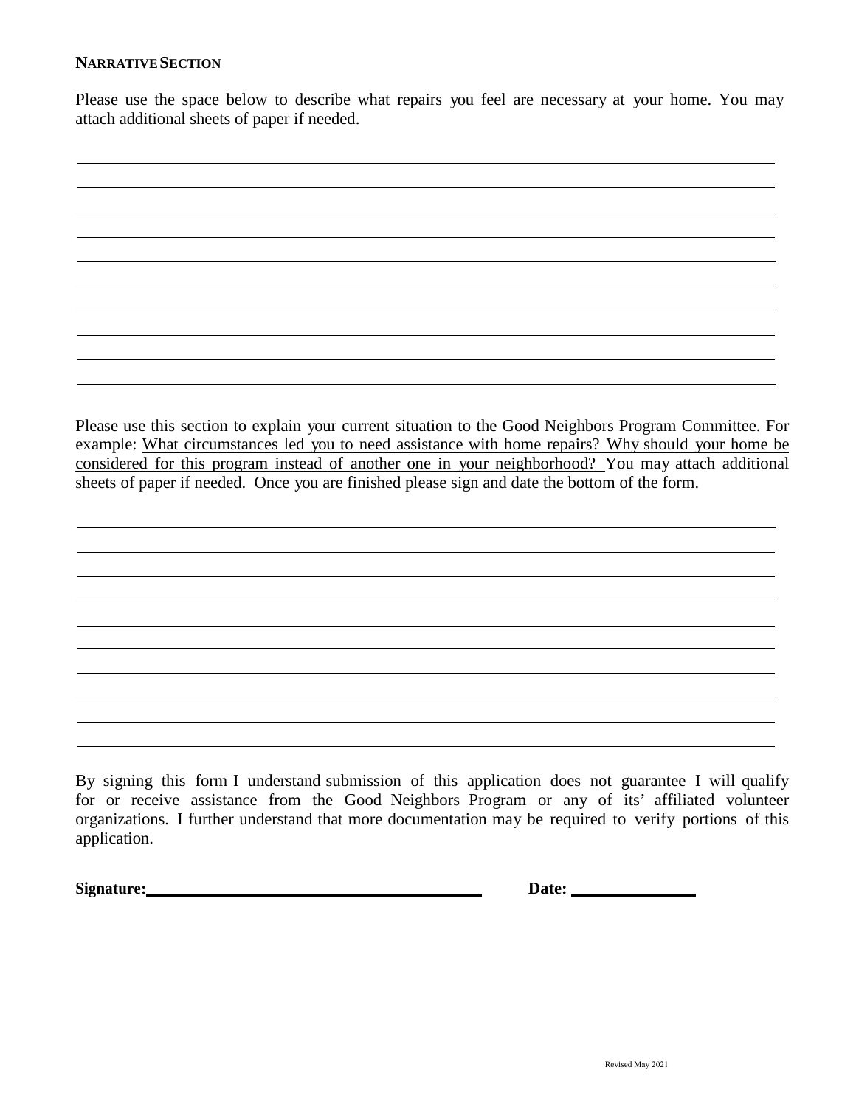### **NARRATIVESECTION**

Please use the space below to describe what repairs you feel are necessary at your home. You may attach additional sheets of paper if needed.

Please use this section to explain your current situation to the Good Neighbors Program Committee. For example: What circumstances led you to need assistance with home repairs? Why should your home be considered for this program instead of another one in your neighborhood? You may attach additional sheets of paper if needed. Once you are finished please sign and date the bottom of the form.

By signing this form I understand submission of this application does not guarantee I will qualify for or receive assistance from the Good Neighbors Program or any of its' affiliated volunteer organizations. I further understand that more documentation may be required to verify portions of this application.

**Signature:** Date: <u>Date:</u> Date: <u>Date:</u> Date: <u>Date:</u> Date: <u>Date: Date: 2000 Pate: 2000 Pate: 2000 Pate: 2000 Pate: 2000 Pate: 2000 Pate: 2000 Pate: 2000 Pate: 2000 Pate: 2000 Pate: 2000 Pate: 2000 Pate: 2000 Pate: 2000 </u>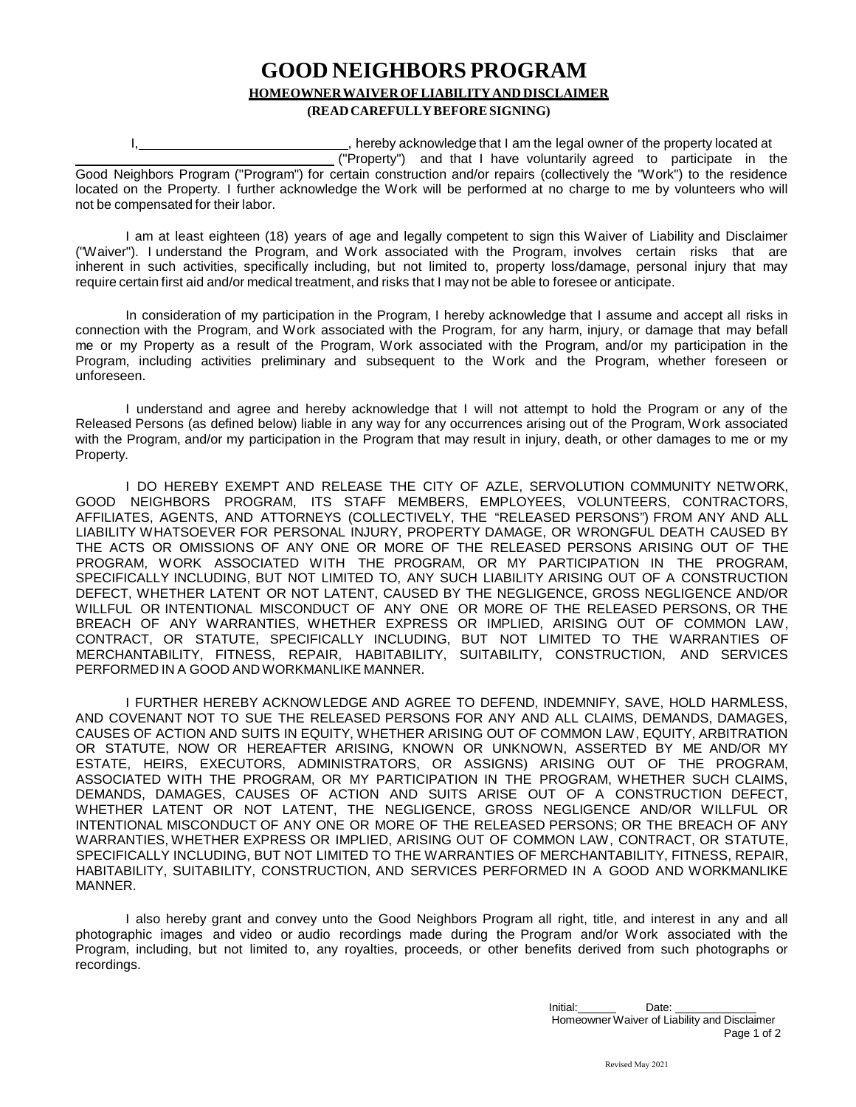### **GOOD NEIGHBORS PROGRAM HOMEOWNER WAIVER OF LIABILITY AND DISCLAIMER (READCAREFULLYBEFORESIGNING)**

I, state of the property interest of the property located at  $\overline{a}$  and  $\overline{b}$  and  $\overline{c}$  are the property located at ("Property") and that I have voluntarily agreed to participate in the Good Neighbors Program ("Program") for certain construction and/or repairs (collectively the "Work") to the residence located on the Property. I further acknowledge the Work will be performed at no charge to me by volunteers who will not be compensated for their labor.

I am at least eighteen (18) years of age and legally competent to sign this Waiver of Liability and Disclaimer ("Waiver"). I understand the Program, and Work associated with the Program, involves certain risks that are inherent in such activities, specifically including, but not limited to, property loss/damage, personal injury that may require certain first aid and/or medical treatment, and risks that I may not be able to foresee or anticipate.

In consideration of my participation in the Program, I hereby acknowledge that I assume and accept all risks in connection with the Program, and Work associated with the Program, for any harm, injury, or damage that may befall me or my Property as a result of the Program, Work associated with the Program, and/or my participation in the Program, including activities preliminary and subsequent to the Work and the Program, whether foreseen or unforeseen.

I understand and agree and hereby acknowledge that I will not attempt to hold the Program or any of the Released Persons (as defined below) liable in any way for any occurrences arising out of the Program, Work associated with the Program, and/or my participation in the Program that may result in injury, death, or other damages to me or my Property.

I DO HEREBY EXEMPT AND RELEASE THE CITY OF AZLE, SERVOLUTION COMMUNITY NETWORK, GOOD NEIGHBORS PROGRAM, ITS STAFF MEMBERS, EMPLOYEES, VOLUNTEERS, CONTRACTORS, AFFILIATES, AGENTS, AND ATTORNEYS (COLLECTIVELY, THE "RELEASED PERSONS") FROM ANY AND ALL LIABILITY WHATSOEVER FOR PERSONAL INJURY, PROPERTY DAMAGE, OR WRONGFUL DEATH CAUSED BY THE ACTS OR OMISSIONS OF ANY ONE OR MORE OF THE RELEASED PERSONS ARISING OUT OF THE PROGRAM, WORK ASSOCIATED WITH THE PROGRAM, OR MY PARTICIPATION IN THE PROGRAM, SPECIFICALLY INCLUDING, BUT NOT LIMITED TO, ANY SUCH LIABILITY ARISING OUT OF A CONSTRUCTION DEFECT, WHETHER LATENT OR NOT LATENT, CAUSED BY THE NEGLIGENCE, GROSS NEGLIGENCE AND/OR WILLFUL OR INTENTIONAL MISCONDUCT OF ANY ONE OR MORE OF THE RELEASED PERSONS, OR THE BREACH OF ANY WARRANTIES, WHETHER EXPRESS OR IMPLIED, ARISING OUT OF COMMON LAW, CONTRACT, OR STATUTE, SPECIFICALLY INCLUDING, BUT NOT LIMITED TO THE WARRANTIES OF MERCHANTABILITY, FITNESS, REPAIR, HABITABILITY, SUITABILITY, CONSTRUCTION, AND SERVICES PERFORMED IN A GOOD AND WORKMANLIKE MANNER.

I FURTHER HEREBY ACKNOWLEDGE AND AGREE TO DEFEND, INDEMNIFY, SAVE, HOLD HARMLESS, AND COVENANT NOT TO SUE THE RELEASED PERSONS FOR ANY AND ALL CLAIMS, DEMANDS, DAMAGES, CAUSES OF ACTION AND SUITS IN EQUITY, WHETHER ARISING OUT OF COMMON LAW, EQUITY, ARBITRATION OR STATUTE, NOW OR HEREAFTER ARISING, KNOWN OR UNKNOWN, ASSERTED BY ME AND/OR MY ESTATE, HEIRS, EXECUTORS, ADMINISTRATORS, OR ASSIGNS) ARISING OUT OF THE PROGRAM, ASSOCIATED WITH THE PROGRAM, OR MY PARTICIPATION IN THE PROGRAM, WHETHER SUCH CLAIMS, DEMANDS, DAMAGES, CAUSES OF ACTION AND SUITS ARISE OUT OF A CONSTRUCTION DEFECT, WHETHER LATENT OR NOT LATENT, THE NEGLIGENCE, GROSS NEGLIGENCE AND/OR WILLFUL OR INTENTIONAL MISCONDUCT OF ANY ONE OR MORE OF THE RELEASED PERSONS; OR THE BREACH OF ANY WARRANTIES, WHETHER EXPRESS OR IMPLIED, ARISING OUT OF COMMON LAW, CONTRACT, OR STATUTE, SPECIFICALLY INCLUDING, BUT NOT LIMITED TO THE WARRANTIES OF MERCHANTABILITY, FITNESS, REPAIR, HABITABILITY, SUITABILITY, CONSTRUCTION, AND SERVICES PERFORMED IN A GOOD AND WORKMANLIKE MANNER.

I also hereby grant and convey unto the Good Neighbors Program all right, title, and interest in any and all photographic images and video or audio recordings made during the Program and/or Work associated with the Program, including, but not limited to, any royalties, proceeds, or other benefits derived from such photographs or recordings.